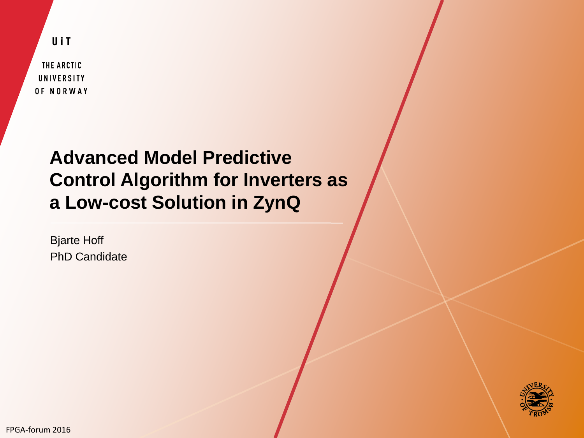UiT

THE ARCTIC UNIVERSITY OF NORWAY

## **Advanced Model Predictive Control Algorithm for Inverters as a Low-cost Solution in ZynQ**

Bjarte Hoff PhD Candidate



FPGA-forum 2016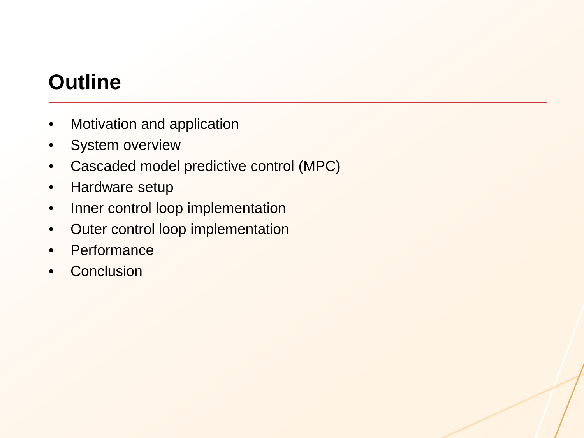# **Outline**

- Motivation and application
- System overview
- Cascaded model predictive control (MPC)
- Hardware setup
- Inner control loop implementation
- Outer control loop implementation
- Performance
- **Conclusion**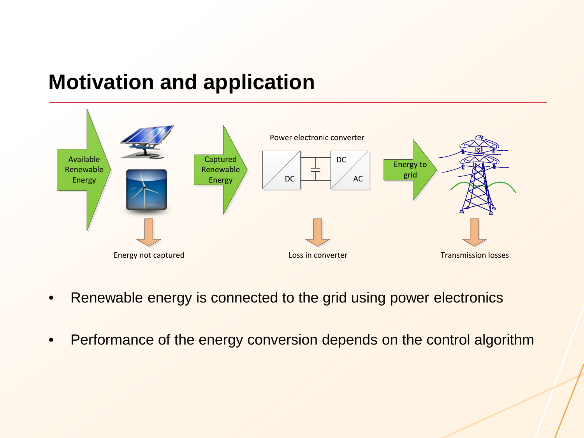# **Motivation and application**



- Renewable energy is connected to the grid using power electronics
- Performance of the energy conversion depends on the control algorithm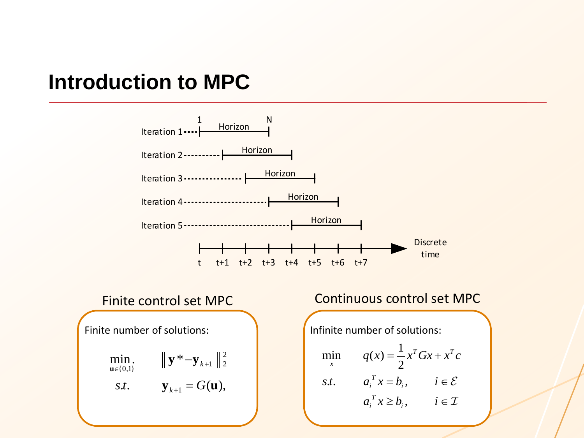#### **Introduction to MPC**

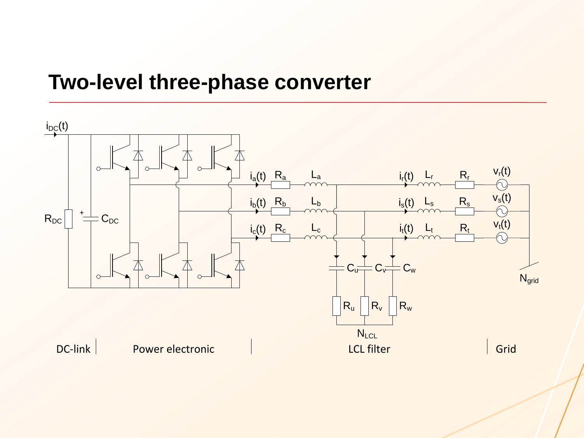#### **Two-level three-phase converter**

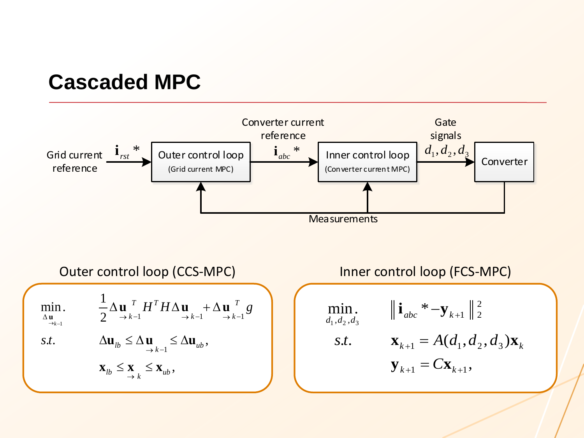# **Cascaded MPC**

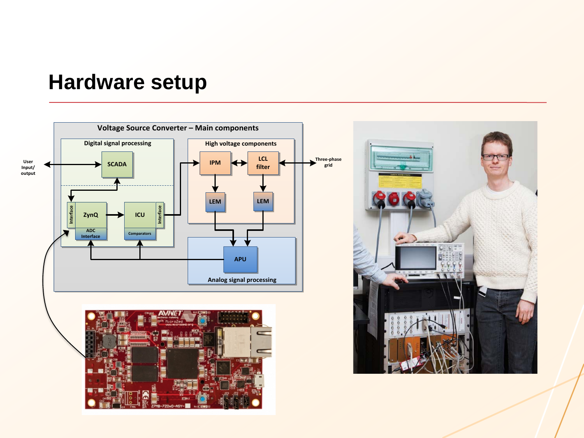## **Hardware setup**

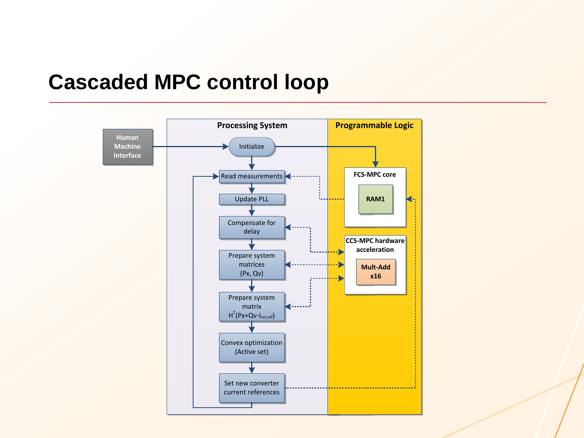## **Cascaded MPC control loop**

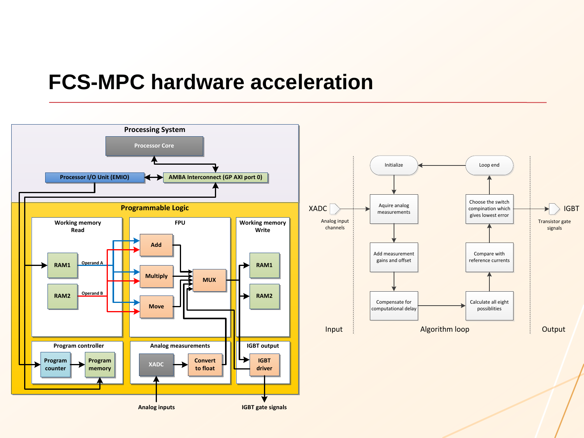#### **FCS-MPC hardware acceleration**

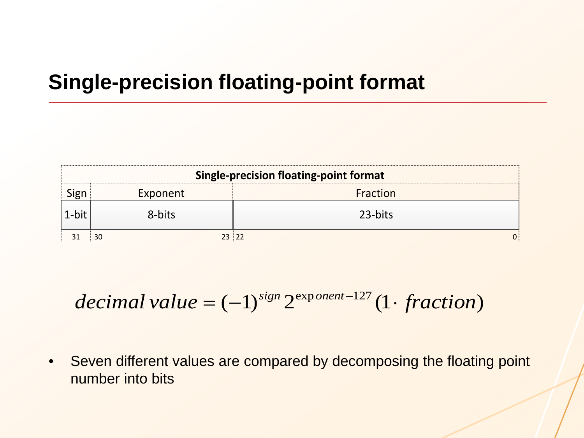# **Single-precision floating-point format**

| <b>Single-precision floating-point format</b> |          |          |  |  |  |  |  |  |  |
|-----------------------------------------------|----------|----------|--|--|--|--|--|--|--|
|                                               | Exponent | Fraction |  |  |  |  |  |  |  |
|                                               | 8-bits   | 23-bits  |  |  |  |  |  |  |  |
|                                               |          | 23 22    |  |  |  |  |  |  |  |

 $decimal value = (-1)^{sign} 2^{exp on ent-127} (1 - fraction)$ 

• Seven different values are compared by decomposing the floating point number into bits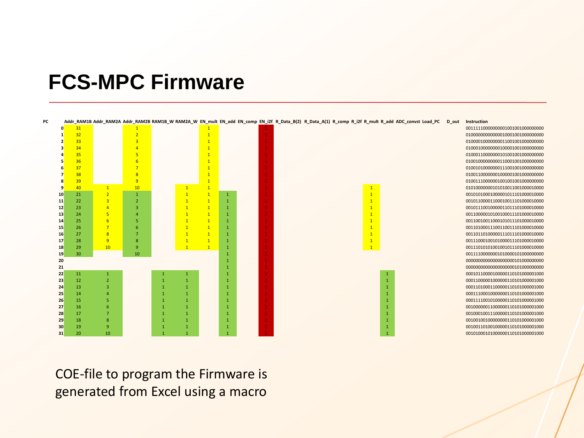## **FCS-MPC Firmware**

| PC |    |    |                 |                |              |              |  | Addr_RAM1B Addr_RAM2A Addr_RAM2B RAM1B_W RAM2A_W EN_mult EN_add EN_comp EN_i2f R_Data_B(2) R_Data_A(1) R_comp R_i2f R_mult R_add ADC_convst Load_PC | D_out | Instruction                       |
|----|----|----|-----------------|----------------|--------------|--------------|--|-----------------------------------------------------------------------------------------------------------------------------------------------------|-------|-----------------------------------|
|    |    | 31 |                 |                |              |              |  |                                                                                                                                                     |       | 001111100000000010010010000000000 |
|    |    | 32 |                 |                |              |              |  |                                                                                                                                                     |       | 010000000000000010001001000000000 |
|    |    | 33 |                 |                |              |              |  |                                                                                                                                                     |       | 010000100000000110010010000000000 |
|    |    | 34 |                 |                |              |              |  |                                                                                                                                                     |       | 01000100000000100001001000000000  |
|    |    | 35 |                 |                |              |              |  |                                                                                                                                                     |       | 010001100000001010010010000000000 |
|    |    | 36 |                 |                |              |              |  |                                                                                                                                                     |       | 010010000000001100010010000000000 |
|    |    | 37 |                 |                |              |              |  |                                                                                                                                                     |       | 01001010000000111001001000000000  |
|    |    | 38 |                 |                |              |              |  |                                                                                                                                                     |       | 010011000000010000010010000000000 |
|    |    | 39 |                 | 9              |              |              |  |                                                                                                                                                     |       | 010011100000010010010010000000000 |
|    |    | 40 | $\mathbf{1}$    | 10             |              |              |  |                                                                                                                                                     |       | 01010000000101010011001000010000  |
|    | 10 | 21 | $\overline{2}$  |                |              | $\mathbf{1}$ |  |                                                                                                                                                     |       | 001010100010000001011101000010000 |
|    | 11 | 22 | 3               | $\overline{2}$ |              |              |  |                                                                                                                                                     |       | 00101100001100010011101000010000  |
|    | 12 | 23 | $\overline{A}$  | 3              |              |              |  |                                                                                                                                                     |       | 00101110010000011011101000010000  |
|    | 13 | 24 | 5               |                |              |              |  |                                                                                                                                                     |       | 00110000010100100011101000010000  |
|    | 14 | 25 | -6              |                |              |              |  |                                                                                                                                                     |       | 00110010011000101011101000010000  |
|    | 15 | 26 |                 |                |              |              |  |                                                                                                                                                     |       | 00110100011100110011101000010000  |
|    | 16 | 27 | -8              |                |              |              |  |                                                                                                                                                     |       | 00110110100000111011101000010000  |
|    | 17 | 28 | -9              | -8             |              | $\mathbf{1}$ |  |                                                                                                                                                     |       | 001110001001010000011101000010000 |
|    | 18 | 29 | 10 <sup>°</sup> | -9             |              | -1           |  |                                                                                                                                                     |       | 00111010101001001011101000010000  |
|    | 19 | 30 |                 | 10             |              |              |  |                                                                                                                                                     |       | 00111100000001010000101000000000  |
|    | 20 |    |                 |                |              |              |  |                                                                                                                                                     |       | 000000000000000000000101000000000 |
|    | 21 |    |                 |                |              |              |  |                                                                                                                                                     |       | 000000000000000000000101000000000 |
|    | 22 | 11 | -1              |                | $\mathbf{1}$ |              |  |                                                                                                                                                     |       | 00010110000100000110101000001000  |
|    | 23 | 12 |                 |                |              |              |  |                                                                                                                                                     |       | 000110000010000000110101000001000 |
|    | 24 | 13 |                 |                |              |              |  |                                                                                                                                                     |       | 00011010001100000110101000001000  |
|    | 25 | 14 |                 |                |              |              |  |                                                                                                                                                     |       | 00011100010000000110101000001000  |
|    | 26 | 15 |                 |                |              |              |  |                                                                                                                                                     |       | 00011110010100000110101000001000  |
|    | 27 | 16 |                 |                |              |              |  |                                                                                                                                                     |       | 00100000011000000110101000001000  |
|    | 28 | 17 |                 |                |              |              |  |                                                                                                                                                     |       | 00100010011100000110101000001000  |
|    | 29 | 18 |                 |                |              |              |  |                                                                                                                                                     |       | 001001001000000000110101000001000 |
|    | 30 | 19 | -9              |                |              |              |  |                                                                                                                                                     |       | 00100110100100000110101000001000  |
|    | 31 | 20 | 10              |                |              |              |  |                                                                                                                                                     |       | 00101000101000000110101000001000  |

COE-file to program the Firmware is generated from Excel using a macro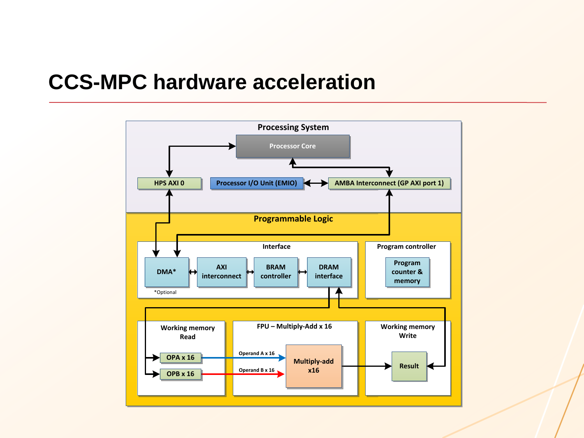## **CCS-MPC hardware acceleration**

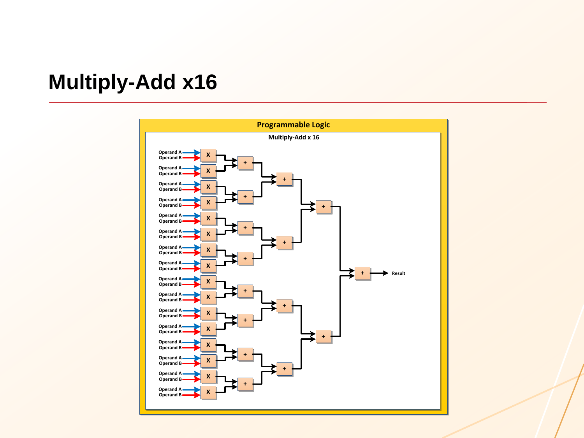## **Multiply -Add x16**

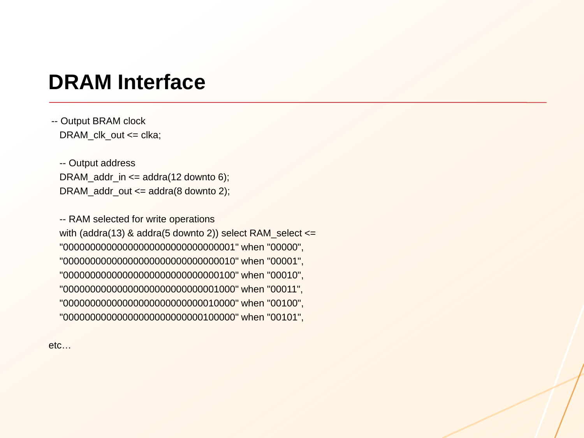## **DRAM Interface**

-- Output BRAM clock DRAM\_clk\_out <= clka;

-- Output address DRAM\_addr\_in <= addra(12 downto 6); DRAM\_addr\_out <= addra(8 downto 2);

-- RAM selected for write operations with (addra(13) & addra(5 downto 2)) select RAM\_select <= "00000000000000000000000000000001" when "00000", "00000000000000000000000000000010" when "00001", "00000000000000000000000000000100" when "00010", "00000000000000000000000000001000" when "00011", "00000000000000000000000000010000" when "00100", "00000000000000000000000000100000" when "00101",

etc…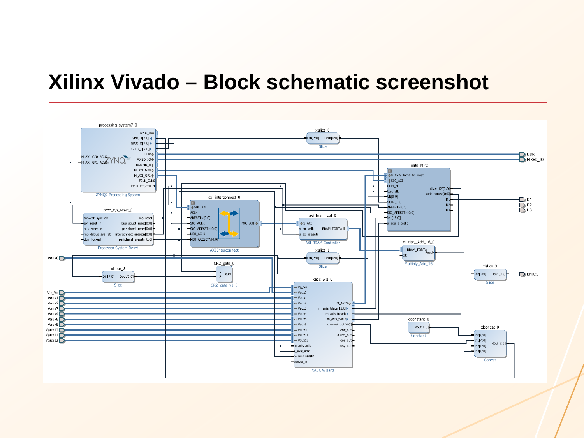#### **Xilinx Vivado – Block schematic screenshot**

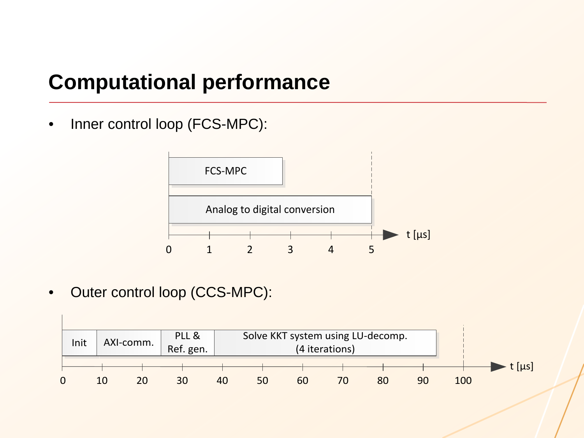# **Computational performance**

Inner control loop (FCS-MPC):



Outer control loop (CCS-MPC):

|      | AXI-comm. |               | PLL &     |    | Solve KKT system using LU-decomp. |    |    |    |    |     |              |
|------|-----------|---------------|-----------|----|-----------------------------------|----|----|----|----|-----|--------------|
| Init |           |               | Ref. gen. |    |                                   |    |    |    |    |     |              |
|      |           |               |           |    |                                   |    |    |    |    |     | t $[ \mu s]$ |
|      | 10        | <u> 20 - </u> | 30        | 40 | 50                                | 60 | 70 | 80 | 90 | 100 |              |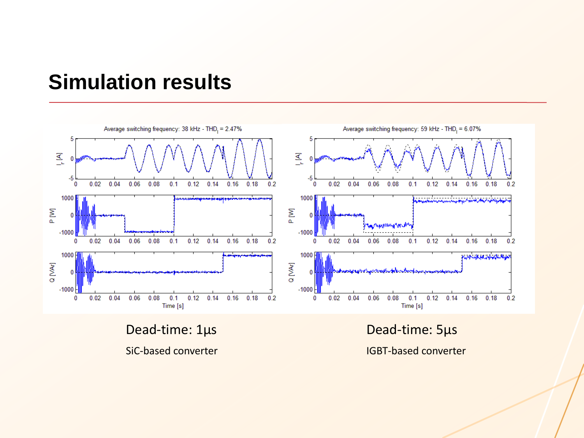### **Simulation results**



Dead-time: 1µs Dead-time: 5µs

SiC-based converter **IGBT-based converter**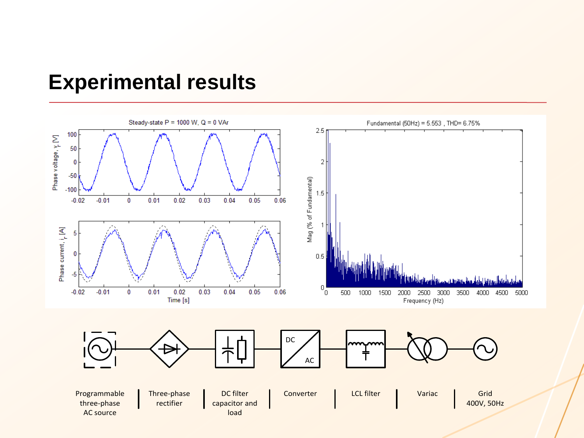#### **Experimental results**